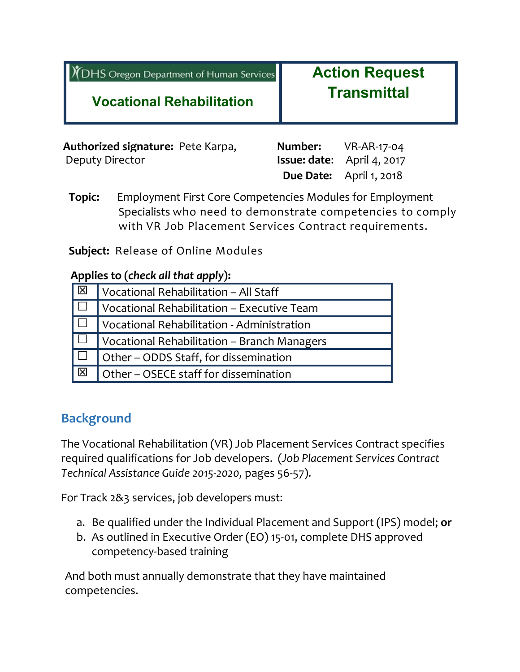|  | XDHS Oregon Department of Human Services |  |
|--|------------------------------------------|--|
|  |                                          |  |

**Action Request Transmittal**

## **Vocational Rehabilitation**

| Authorized signature: Pete Karpa, | <b>Number:</b> VR-AR-17-04        |
|-----------------------------------|-----------------------------------|
| Deputy Director                   | <b>Issue: date:</b> April 4, 2017 |
|                                   | <b>Due Date:</b> April 1, 2018    |

**Topic:** Employment First Core Competencies Modules for Employment Specialists who need to demonstrate competencies to comply with VR Job Placement Services Contract requirements.

**Subject:** Release of Online Modules

#### **Applies to (***check all that apply***):**

| Vocational Rehabilitation - All Staff       |
|---------------------------------------------|
| Vocational Rehabilitation - Executive Team  |
| Vocational Rehabilitation - Administration  |
| Vocational Rehabilitation - Branch Managers |
| Other -- ODDS Staff, for dissemination      |
| Other - OSECE staff for dissemination       |
|                                             |

## **Background**

The Vocational Rehabilitation (VR) Job Placement Services Contract specifies required qualifications for Job developers. (*Job Placement Services Contract Technical Assistance Guide 2015-2020,* pages 56-57).

For Track 2&3 services, job developers must:

- a. Be qualified under the Individual Placement and Support (IPS) model; **or**
- b. As outlined in Executive Order (EO) 15-01, complete DHS approved competency-based training

And both must annually demonstrate that they have maintained competencies.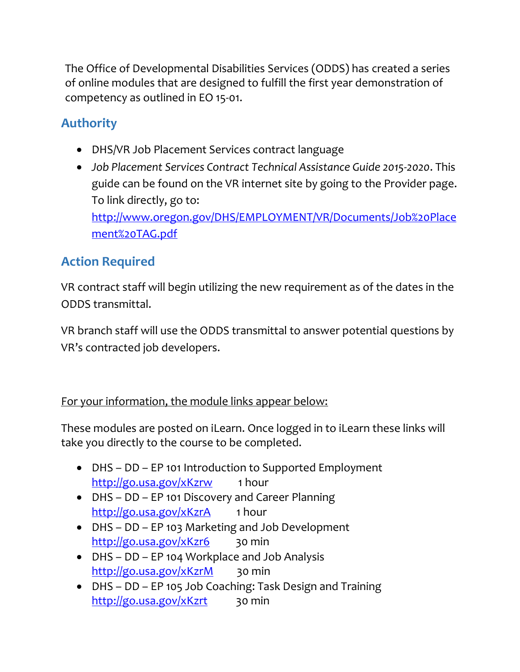The Office of Developmental Disabilities Services (ODDS) has created a series of online modules that are designed to fulfill the first year demonstration of competency as outlined in EO 15-01.

# **Authority**

- DHS/VR Job Placement Services contract language
- *Job Placement Services Contract Technical Assistance Guide 2015-2020*. This guide can be found on the VR internet site by going to the Provider page. To link directly, go to:

[http://www.oregon.gov/DHS/EMPLOYMENT/VR/Documents/Job%20Place](http://www.oregon.gov/DHS/EMPLOYMENT/VR/Documents/Job%20Placement%20TAG.pdf) [ment%20TAG.pdf](http://www.oregon.gov/DHS/EMPLOYMENT/VR/Documents/Job%20Placement%20TAG.pdf)

# **Action Required**

VR contract staff will begin utilizing the new requirement as of the dates in the ODDS transmittal.

VR branch staff will use the ODDS transmittal to answer potential questions by VR's contracted job developers.

For your information, the module links appear below:

These modules are posted on iLearn. Once logged in to iLearn these links will take you directly to the course to be completed.

- DHS DD EP 101 Introduction to Supported Employment <http://go.usa.gov/xKzrw>1 hour
- DHS DD EP 101 Discovery and Career Planning <http://go.usa.gov/xKzrA>1 hour
- DHS DD EP 103 Marketing and Job Development <http://go.usa.gov/xKzr6>30 min
- DHS DD EP 104 Workplace and Job Analysis <http://go.usa.gov/xKzrM>30 min
- DHS DD EP 105 Job Coaching: Task Design and Training <http://go.usa.gov/xKzrt>30 min